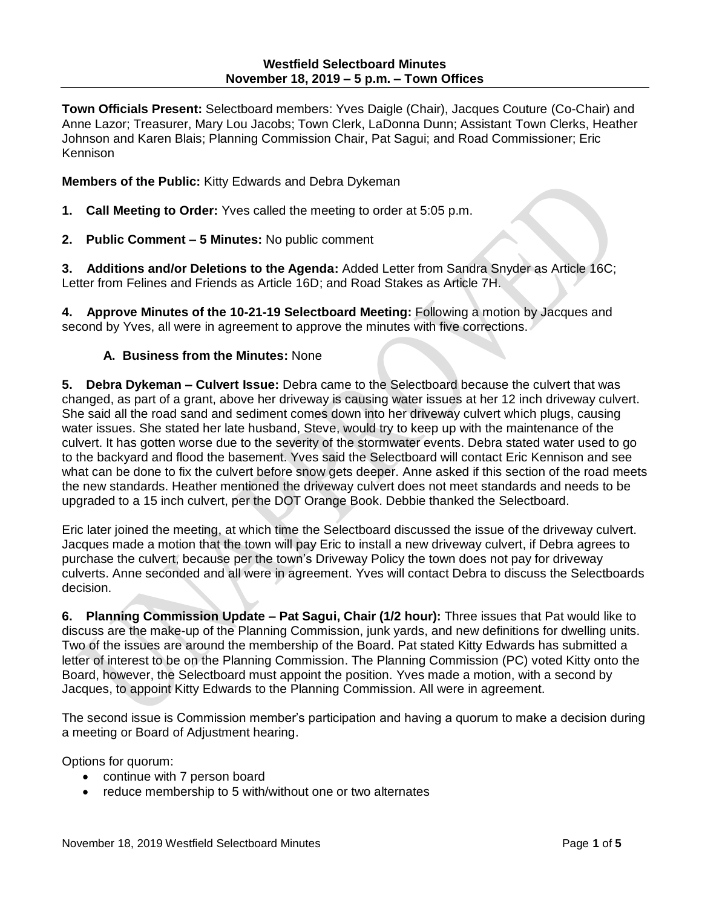**Town Officials Present:** Selectboard members: Yves Daigle (Chair), Jacques Couture (Co-Chair) and Anne Lazor; Treasurer, Mary Lou Jacobs; Town Clerk, LaDonna Dunn; Assistant Town Clerks, Heather Johnson and Karen Blais; Planning Commission Chair, Pat Sagui; and Road Commissioner; Eric Kennison

**Members of the Public:** Kitty Edwards and Debra Dykeman

- **1. Call Meeting to Order:** Yves called the meeting to order at 5:05 p.m.
- **2. Public Comment – 5 Minutes:** No public comment

**3. Additions and/or Deletions to the Agenda:** Added Letter from Sandra Snyder as Article 16C; Letter from Felines and Friends as Article 16D; and Road Stakes as Article 7H.

**4. Approve Minutes of the 10-21-19 Selectboard Meeting:** Following a motion by Jacques and second by Yves, all were in agreement to approve the minutes with five corrections.

## **A. Business from the Minutes:** None

**5. Debra Dykeman – Culvert Issue:** Debra came to the Selectboard because the culvert that was changed, as part of a grant, above her driveway is causing water issues at her 12 inch driveway culvert. She said all the road sand and sediment comes down into her driveway culvert which plugs, causing water issues. She stated her late husband, Steve, would try to keep up with the maintenance of the culvert. It has gotten worse due to the severity of the stormwater events. Debra stated water used to go to the backyard and flood the basement. Yves said the Selectboard will contact Eric Kennison and see what can be done to fix the culvert before snow gets deeper. Anne asked if this section of the road meets the new standards. Heather mentioned the driveway culvert does not meet standards and needs to be upgraded to a 15 inch culvert, per the DOT Orange Book. Debbie thanked the Selectboard.

Eric later joined the meeting, at which time the Selectboard discussed the issue of the driveway culvert. Jacques made a motion that the town will pay Eric to install a new driveway culvert, if Debra agrees to purchase the culvert, because per the town's Driveway Policy the town does not pay for driveway culverts. Anne seconded and all were in agreement. Yves will contact Debra to discuss the Selectboards decision.

**6. Planning Commission Update – Pat Sagui, Chair (1/2 hour):** Three issues that Pat would like to discuss are the make-up of the Planning Commission, junk yards, and new definitions for dwelling units. Two of the issues are around the membership of the Board. Pat stated Kitty Edwards has submitted a letter of interest to be on the Planning Commission. The Planning Commission (PC) voted Kitty onto the Board, however, the Selectboard must appoint the position. Yves made a motion, with a second by Jacques, to appoint Kitty Edwards to the Planning Commission. All were in agreement.

The second issue is Commission member's participation and having a quorum to make a decision during a meeting or Board of Adjustment hearing.

Options for quorum:

- continue with 7 person board
- reduce membership to 5 with/without one or two alternates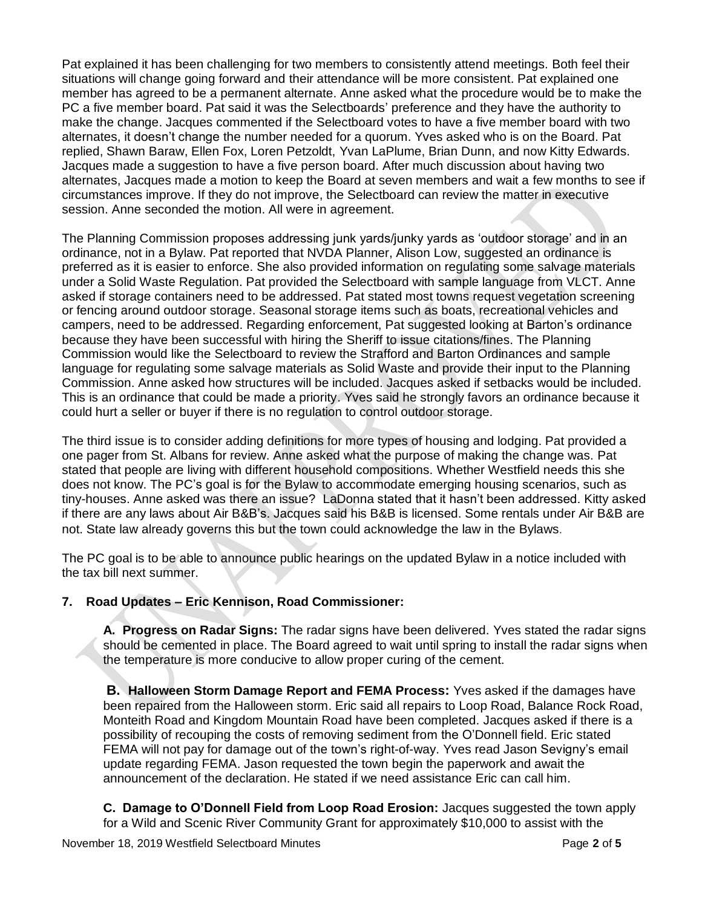Pat explained it has been challenging for two members to consistently attend meetings. Both feel their situations will change going forward and their attendance will be more consistent. Pat explained one member has agreed to be a permanent alternate. Anne asked what the procedure would be to make the PC a five member board. Pat said it was the Selectboards' preference and they have the authority to make the change. Jacques commented if the Selectboard votes to have a five member board with two alternates, it doesn't change the number needed for a quorum. Yves asked who is on the Board. Pat replied, Shawn Baraw, Ellen Fox, Loren Petzoldt, Yvan LaPlume, Brian Dunn, and now Kitty Edwards. Jacques made a suggestion to have a five person board. After much discussion about having two alternates, Jacques made a motion to keep the Board at seven members and wait a few months to see if circumstances improve. If they do not improve, the Selectboard can review the matter in executive session. Anne seconded the motion. All were in agreement.

The Planning Commission proposes addressing junk yards/junky yards as 'outdoor storage' and in an ordinance, not in a Bylaw. Pat reported that NVDA Planner, Alison Low, suggested an ordinance is preferred as it is easier to enforce. She also provided information on regulating some salvage materials under a Solid Waste Regulation. Pat provided the Selectboard with sample language from VLCT. Anne asked if storage containers need to be addressed. Pat stated most towns request vegetation screening or fencing around outdoor storage. Seasonal storage items such as boats, recreational vehicles and campers, need to be addressed. Regarding enforcement, Pat suggested looking at Barton's ordinance because they have been successful with hiring the Sheriff to issue citations/fines. The Planning Commission would like the Selectboard to review the Strafford and Barton Ordinances and sample language for regulating some salvage materials as Solid Waste and provide their input to the Planning Commission. Anne asked how structures will be included. Jacques asked if setbacks would be included. This is an ordinance that could be made a priority. Yves said he strongly favors an ordinance because it could hurt a seller or buyer if there is no regulation to control outdoor storage.

The third issue is to consider adding definitions for more types of housing and lodging. Pat provided a one pager from St. Albans for review. Anne asked what the purpose of making the change was. Pat stated that people are living with different household compositions. Whether Westfield needs this she does not know. The PC's goal is for the Bylaw to accommodate emerging housing scenarios, such as tiny-houses. Anne asked was there an issue? LaDonna stated that it hasn't been addressed. Kitty asked if there are any laws about Air B&B's. Jacques said his B&B is licensed. Some rentals under Air B&B are not. State law already governs this but the town could acknowledge the law in the Bylaws.

The PC goal is to be able to announce public hearings on the updated Bylaw in a notice included with the tax bill next summer.

## **7. Road Updates – Eric Kennison, Road Commissioner:**

**A. Progress on Radar Signs:** The radar signs have been delivered. Yves stated the radar signs should be cemented in place. The Board agreed to wait until spring to install the radar signs when the temperature is more conducive to allow proper curing of the cement.

**B. Halloween Storm Damage Report and FEMA Process:** Yves asked if the damages have been repaired from the Halloween storm. Eric said all repairs to Loop Road, Balance Rock Road, Monteith Road and Kingdom Mountain Road have been completed. Jacques asked if there is a possibility of recouping the costs of removing sediment from the O'Donnell field. Eric stated FEMA will not pay for damage out of the town's right-of-way. Yves read Jason Sevigny's email update regarding FEMA. Jason requested the town begin the paperwork and await the announcement of the declaration. He stated if we need assistance Eric can call him.

**C. Damage to O'Donnell Field from Loop Road Erosion:** Jacques suggested the town apply for a Wild and Scenic River Community Grant for approximately \$10,000 to assist with the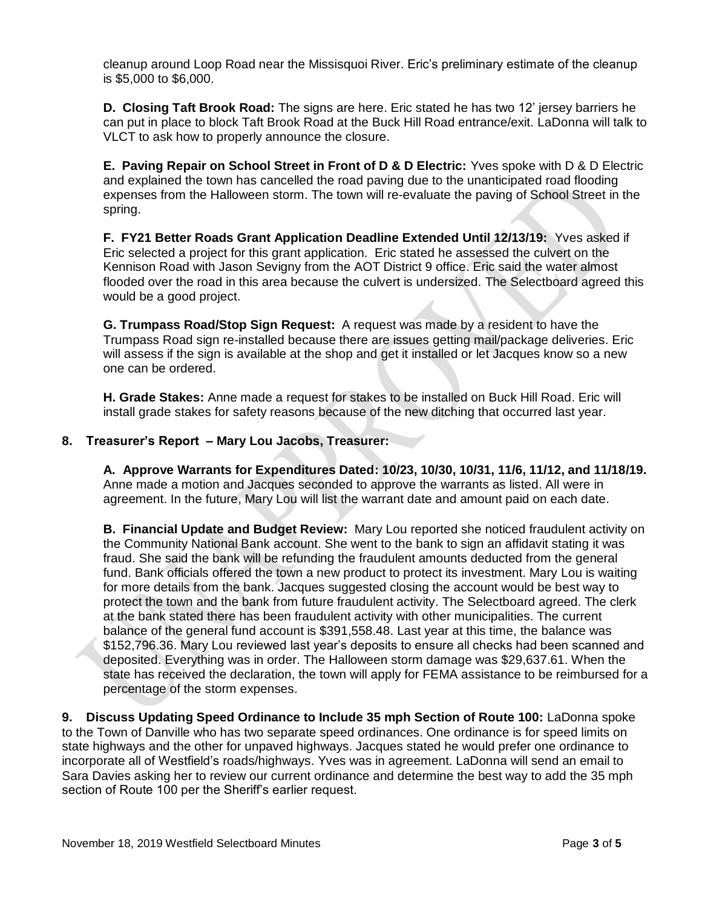cleanup around Loop Road near the Missisquoi River. Eric's preliminary estimate of the cleanup is \$5,000 to \$6,000.

**D. Closing Taft Brook Road:** The signs are here. Eric stated he has two 12' jersey barriers he can put in place to block Taft Brook Road at the Buck Hill Road entrance/exit. LaDonna will talk to VLCT to ask how to properly announce the closure.

**E. Paving Repair on School Street in Front of D & D Electric:** Yves spoke with D & D Electric and explained the town has cancelled the road paving due to the unanticipated road flooding expenses from the Halloween storm. The town will re-evaluate the paving of School Street in the spring.

**F. FY21 Better Roads Grant Application Deadline Extended Until 12/13/19:** Yves asked if Eric selected a project for this grant application. Eric stated he assessed the culvert on the Kennison Road with Jason Sevigny from the AOT District 9 office. Eric said the water almost flooded over the road in this area because the culvert is undersized. The Selectboard agreed this would be a good project.

**G. Trumpass Road/Stop Sign Request:** A request was made by a resident to have the Trumpass Road sign re-installed because there are issues getting mail/package deliveries. Eric will assess if the sign is available at the shop and get it installed or let Jacques know so a new one can be ordered.

**H. Grade Stakes:** Anne made a request for stakes to be installed on Buck Hill Road. Eric will install grade stakes for safety reasons because of the new ditching that occurred last year.

## **8. Treasurer's Report – Mary Lou Jacobs, Treasurer:**

**A. Approve Warrants for Expenditures Dated: 10/23, 10/30, 10/31, 11/6, 11/12, and 11/18/19.**  Anne made a motion and Jacques seconded to approve the warrants as listed. All were in agreement. In the future, Mary Lou will list the warrant date and amount paid on each date.

**B. Financial Update and Budget Review:** Mary Lou reported she noticed fraudulent activity on the Community National Bank account. She went to the bank to sign an affidavit stating it was fraud. She said the bank will be refunding the fraudulent amounts deducted from the general fund. Bank officials offered the town a new product to protect its investment. Mary Lou is waiting for more details from the bank. Jacques suggested closing the account would be best way to protect the town and the bank from future fraudulent activity. The Selectboard agreed. The clerk at the bank stated there has been fraudulent activity with other municipalities. The current balance of the general fund account is \$391,558.48. Last year at this time, the balance was \$152,796.36. Mary Lou reviewed last year's deposits to ensure all checks had been scanned and deposited. Everything was in order. The Halloween storm damage was \$29,637.61. When the state has received the declaration, the town will apply for FEMA assistance to be reimbursed for a percentage of the storm expenses.

**9. Discuss Updating Speed Ordinance to Include 35 mph Section of Route 100:** LaDonna spoke to the Town of Danville who has two separate speed ordinances. One ordinance is for speed limits on state highways and the other for unpaved highways. Jacques stated he would prefer one ordinance to incorporate all of Westfield's roads/highways. Yves was in agreement. LaDonna will send an email to Sara Davies asking her to review our current ordinance and determine the best way to add the 35 mph section of Route 100 per the Sheriff's earlier request.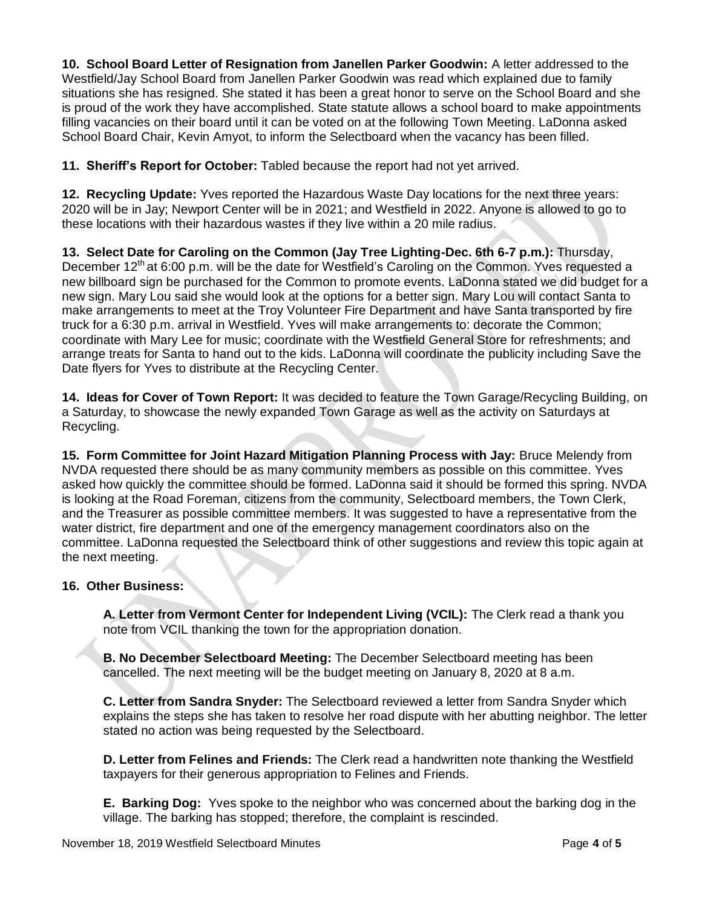**10. School Board Letter of Resignation from Janellen Parker Goodwin:** A letter addressed to the Westfield/Jay School Board from Janellen Parker Goodwin was read which explained due to family situations she has resigned. She stated it has been a great honor to serve on the School Board and she is proud of the work they have accomplished. State statute allows a school board to make appointments filling vacancies on their board until it can be voted on at the following Town Meeting. LaDonna asked School Board Chair, Kevin Amyot, to inform the Selectboard when the vacancy has been filled.

**11. Sheriff's Report for October:** Tabled because the report had not yet arrived.

**12. Recycling Update:** Yves reported the Hazardous Waste Day locations for the next three years: 2020 will be in Jay; Newport Center will be in 2021; and Westfield in 2022. Anyone is allowed to go to these locations with their hazardous wastes if they live within a 20 mile radius.

**13. Select Date for Caroling on the Common (Jay Tree Lighting-Dec. 6th 6-7 p.m.):** Thursday, December 12<sup>th</sup> at 6:00 p.m. will be the date for Westfield's Caroling on the Common. Yves requested a new billboard sign be purchased for the Common to promote events. LaDonna stated we did budget for a new sign. Mary Lou said she would look at the options for a better sign. Mary Lou will contact Santa to make arrangements to meet at the Troy Volunteer Fire Department and have Santa transported by fire truck for a 6:30 p.m. arrival in Westfield. Yves will make arrangements to: decorate the Common; coordinate with Mary Lee for music; coordinate with the Westfield General Store for refreshments; and arrange treats for Santa to hand out to the kids. LaDonna will coordinate the publicity including Save the Date flyers for Yves to distribute at the Recycling Center.

**14. Ideas for Cover of Town Report:** It was decided to feature the Town Garage/Recycling Building, on a Saturday, to showcase the newly expanded Town Garage as well as the activity on Saturdays at Recycling.

**15. Form Committee for Joint Hazard Mitigation Planning Process with Jay:** Bruce Melendy from NVDA requested there should be as many community members as possible on this committee. Yves asked how quickly the committee should be formed. LaDonna said it should be formed this spring. NVDA is looking at the Road Foreman, citizens from the community, Selectboard members, the Town Clerk, and the Treasurer as possible committee members. It was suggested to have a representative from the water district, fire department and one of the emergency management coordinators also on the committee. LaDonna requested the Selectboard think of other suggestions and review this topic again at the next meeting.

## **16. Other Business:**

**A. Letter from Vermont Center for Independent Living (VCIL):** The Clerk read a thank you note from VCIL thanking the town for the appropriation donation.

**B. No December Selectboard Meeting:** The December Selectboard meeting has been cancelled. The next meeting will be the budget meeting on January 8, 2020 at 8 a.m.

**C. Letter from Sandra Snyder:** The Selectboard reviewed a letter from Sandra Snyder which explains the steps she has taken to resolve her road dispute with her abutting neighbor. The letter stated no action was being requested by the Selectboard.

**D. Letter from Felines and Friends:** The Clerk read a handwritten note thanking the Westfield taxpayers for their generous appropriation to Felines and Friends.

**E. Barking Dog:** Yves spoke to the neighbor who was concerned about the barking dog in the village. The barking has stopped; therefore, the complaint is rescinded.